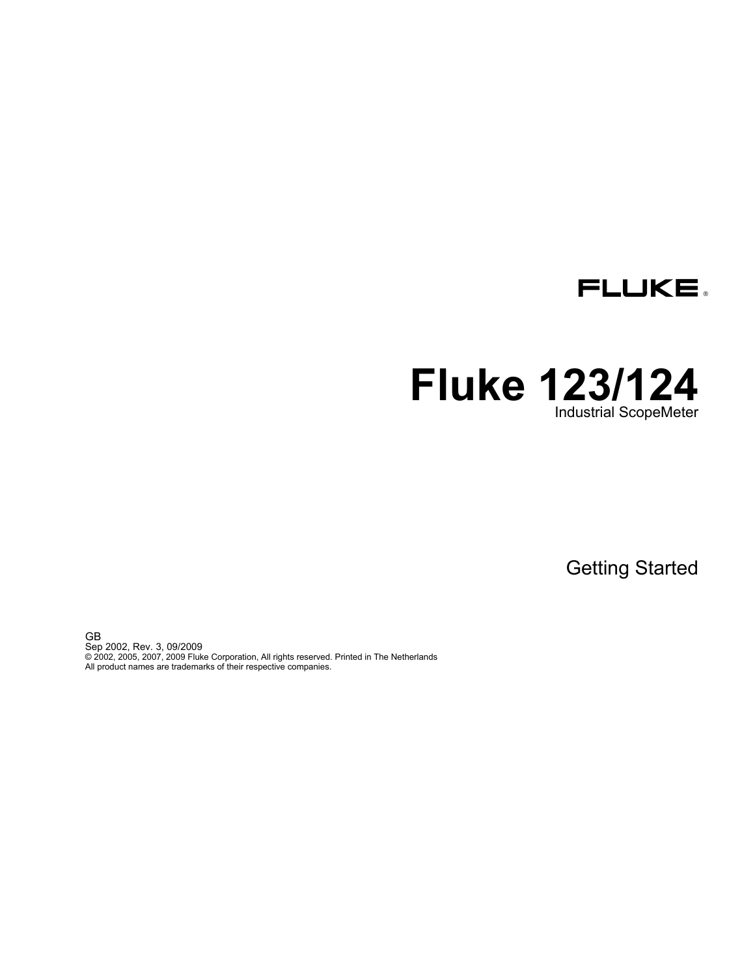

# **Fluke 123/124**  Industrial ScopeMeter

Getting Started

GB Sep 2002, Rev. 3, 09/2009 © 2002, 2005, 2007, 2009 Fluke Corporation, All rights reserved. Printed in The Netherlands All product names are trademarks of their respective companies.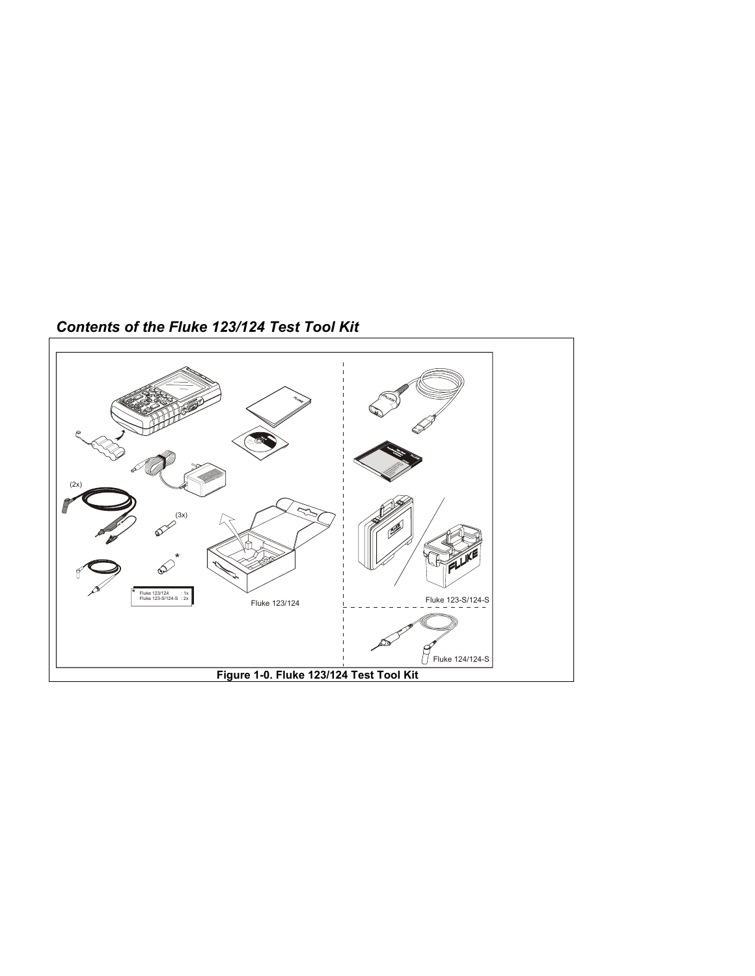

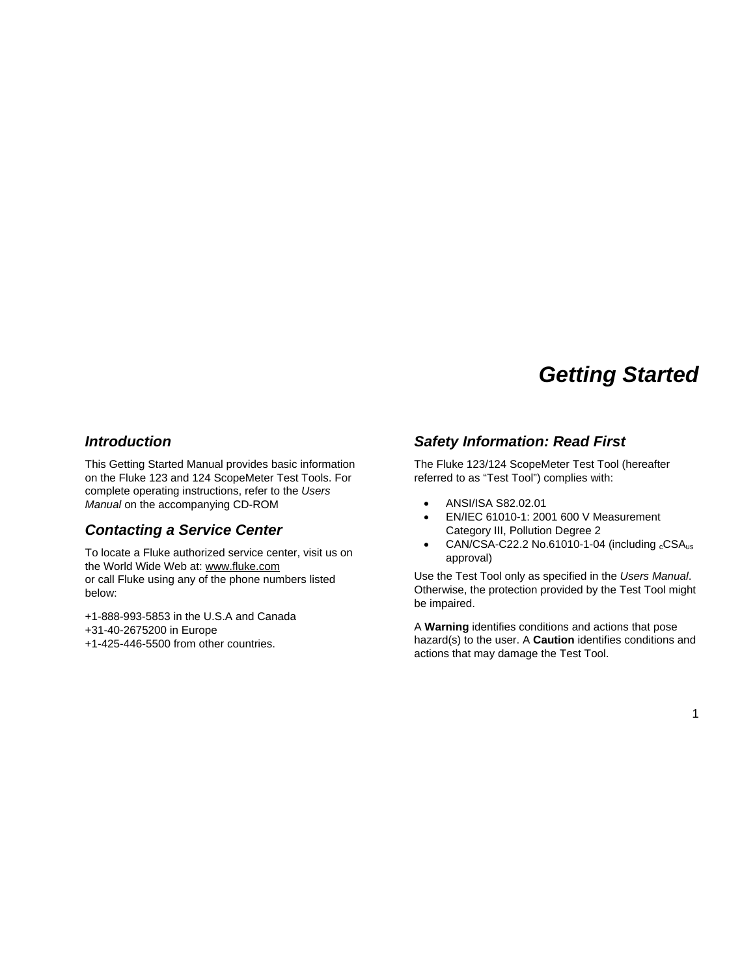# *Getting Started*

#### *Introduction*

This Getting Started Manual provides basic information on the Fluke 123 and 124 ScopeMeter Test Tools. For complete operating instructions, refer to the *Users Manual* on the accompanying CD-ROM

## *Contacting a Service Center*

To locate a Fluke authorized service center, visit us on the World Wide Web at: www.fluke.com or call Fluke using any of the phone numbers listed below:

+1-888-993-5853 in the U.S.A and Canada +31-40-2675200 in Europe +1-425-446-5500 from other countries.

## *Safety Information: Read First*

The Fluke 123/124 ScopeMeter Test Tool (hereafter referred to as "Test Tool") complies with:

- ANSI/ISA S82.02.01
- EN/IEC 61010-1: 2001 600 V Measurement Category III, Pollution Degree 2
- $CAN/CSA-C22.2$  No.61010-1-04 (including  $cCSA<sub>us</sub>$ ) approval)

Use the Test Tool only as specified in the *Users Manual*. Otherwise, the protection provided by the Test Tool might be impaired.

A **Warning** identifies conditions and actions that pose hazard(s) to the user. A **Caution** identifies conditions and actions that may damage the Test Tool.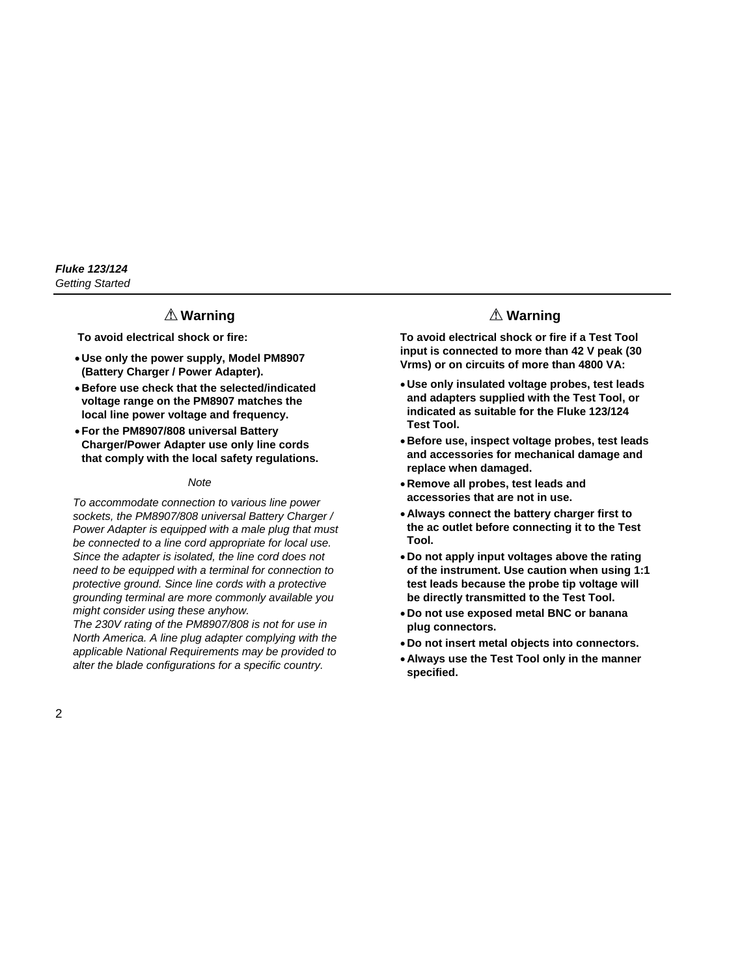### **Warning**

**To avoid electrical shock or fire:** 

- **Use only the power supply, Model PM8907 (Battery Charger / Power Adapter).**
- **Before use check that the selected/indicated voltage range on the PM8907 matches the local line power voltage and frequency.**
- **For the PM8907/808 universal Battery Charger/Power Adapter use only line cords that comply with the local safety regulations.**

#### *Note*

*To accommodate connection to various line power sockets, the PM8907/808 universal Battery Charger / Power Adapter is equipped with a male plug that must be connected to a line cord appropriate for local use. Since the adapter is isolated, the line cord does not need to be equipped with a terminal for connection to protective ground. Since line cords with a protective grounding terminal are more commonly available you might consider using these anyhow.* 

*The 230V rating of the PM8907/808 is not for use in North America. A line plug adapter complying with the applicable National Requirements may be provided to alter the blade configurations for a specific country.* 

## **Warning**

**To avoid electrical shock or fire if a Test Tool input is connected to more than 42 V peak (30 Vrms) or on circuits of more than 4800 VA:** 

- **Use only insulated voltage probes, test leads and adapters supplied with the Test Tool, or indicated as suitable for the Fluke 123/124 Test Tool.**
- **Before use, inspect voltage probes, test leads and accessories for mechanical damage and replace when damaged.**
- **Remove all probes, test leads and accessories that are not in use.**
- **Always connect the battery charger first to the ac outlet before connecting it to the Test Tool.**
- **Do not apply input voltages above the rating of the instrument. Use caution when using 1:1 test leads because the probe tip voltage will be directly transmitted to the Test Tool.**
- **Do not use exposed metal BNC or banana plug connectors.**
- **Do not insert metal objects into connectors.**
- **Always use the Test Tool only in the manner specified.**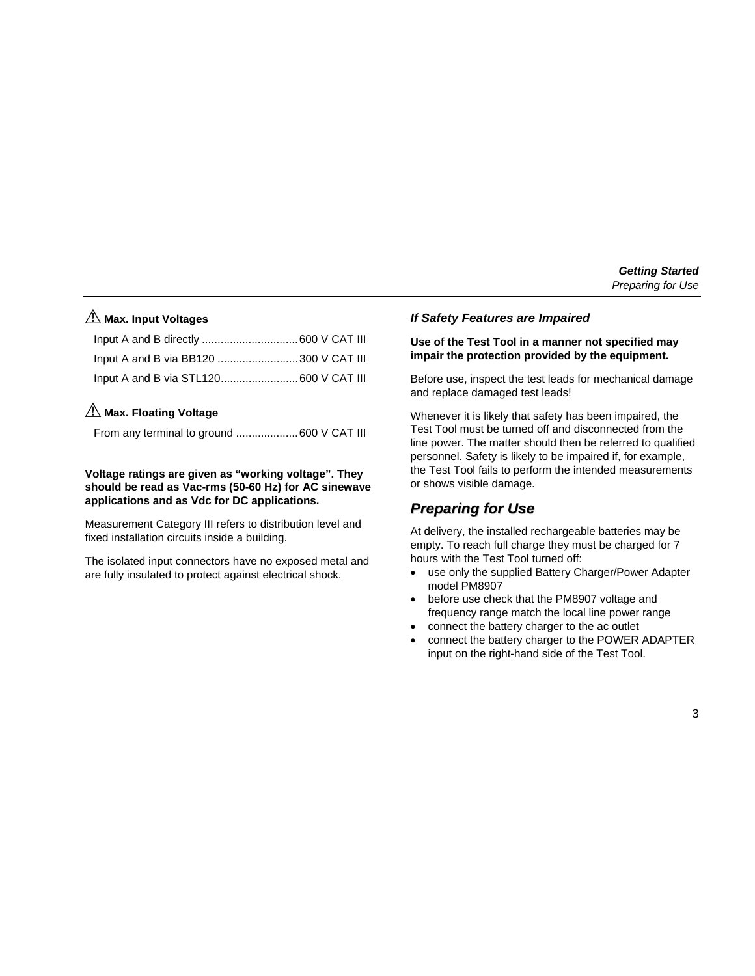# **Max. Input Voltages**

| Input A and B via BB120 300 V CAT III |  |
|---------------------------------------|--|
|                                       |  |

## **Max. Floating Voltage**

|  | From any terminal to ground 600 V CAT III |
|--|-------------------------------------------|
|  |                                           |

#### **Voltage ratings are given as "working voltage". They should be read as Vac-rms (50-60 Hz) for AC sinewave applications and as Vdc for DC applications.**

Measurement Category III refers to distribution level and fixed installation circuits inside a building.

The isolated input connectors have no exposed metal and are fully insulated to protect against electrical shock.

#### *If Safety Features are Impaired*

#### **Use of the Test Tool in a manner not specified may impair the protection provided by the equipment.**

Before use, inspect the test leads for mechanical damage and replace damaged test leads!

Whenever it is likely that safety has been impaired, the Test Tool must be turned off and disconnected from the line power. The matter should then be referred to qualified personnel. Safety is likely to be impaired if, for example, the Test Tool fails to perform the intended measurements or shows visible damage.

## *Preparing for Use*

At delivery, the installed rechargeable batteries may be empty. To reach full charge they must be charged for 7 hours with the Test Tool turned off:

- use only the supplied Battery Charger/Power Adapter model PM8907
- before use check that the PM8907 voltage and frequency range match the local line power range
- connect the battery charger to the ac outlet
- connect the battery charger to the POWER ADAPTER input on the right-hand side of the Test Tool.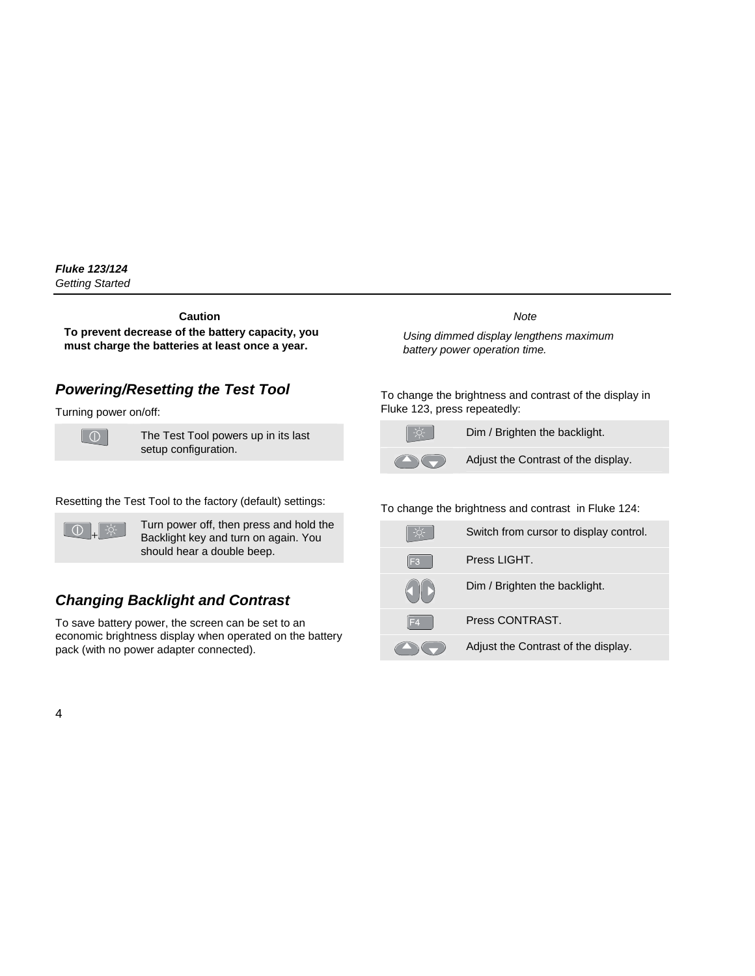**Caution** 

**To prevent decrease of the battery capacity, you must charge the batteries at least once a year.** 

# *Powering/Resetting the Test Tool*

Turning power on/off:



The Test Tool powers up in its last setup configuration.

Resetting the Test Tool to the factory (default) settings:



Turn power off, then press and hold the Backlight key and turn on again. You should hear a double beep.

# *Changing Backlight and Contrast*

To save battery power, the screen can be set to an economic brightness display when operated on the battery pack (with no power adapter connected).

*Note* 

*Using dimmed display lengthens maximum battery power operation time.*

To change the brightness and contrast of the display in Fluke 123, press repeatedly:



Dim / Brighten the backlight.



Adjust the Contrast of the display.

#### To change the brightness and contrast in Fluke 124:

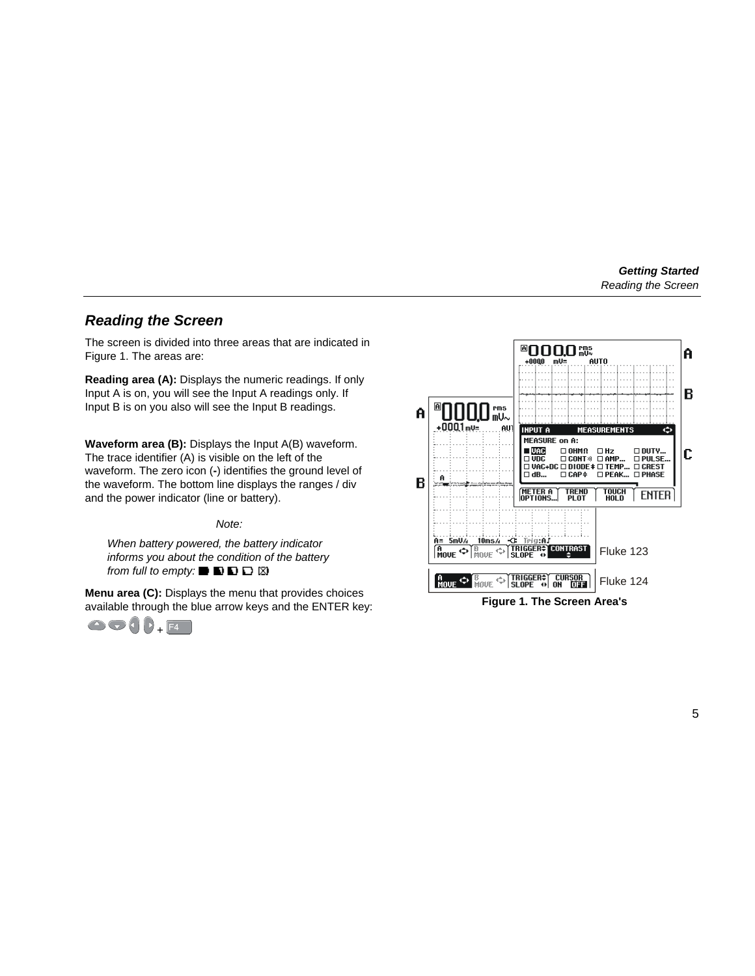## *Reading the Screen*

The screen is divided into three areas that are indicated in Figure 1. The areas are:

**Reading area (A):** Displays the numeric readings. If only Input A is on, you will see the Input A readings only. If Input B is on you also will see the Input B readings.

**Waveform area (B):** Displays the Input A(B) waveform. The trace identifier (A) is visible on the left of the waveform. The zero icon (**-**) identifies the ground level of the waveform. The bottom line displays the ranges / div and the power indicator (line or battery).

*Note:* 

*When battery powered, the battery indicator informs you about the condition of the battery from full to empty:* ■ ■ ■ ■ ■ ■ ■

**Menu area (C):** Displays the menu that provides choices available through the blue arrow keys and the ENTER key:





**Figure 1. The Screen Area's**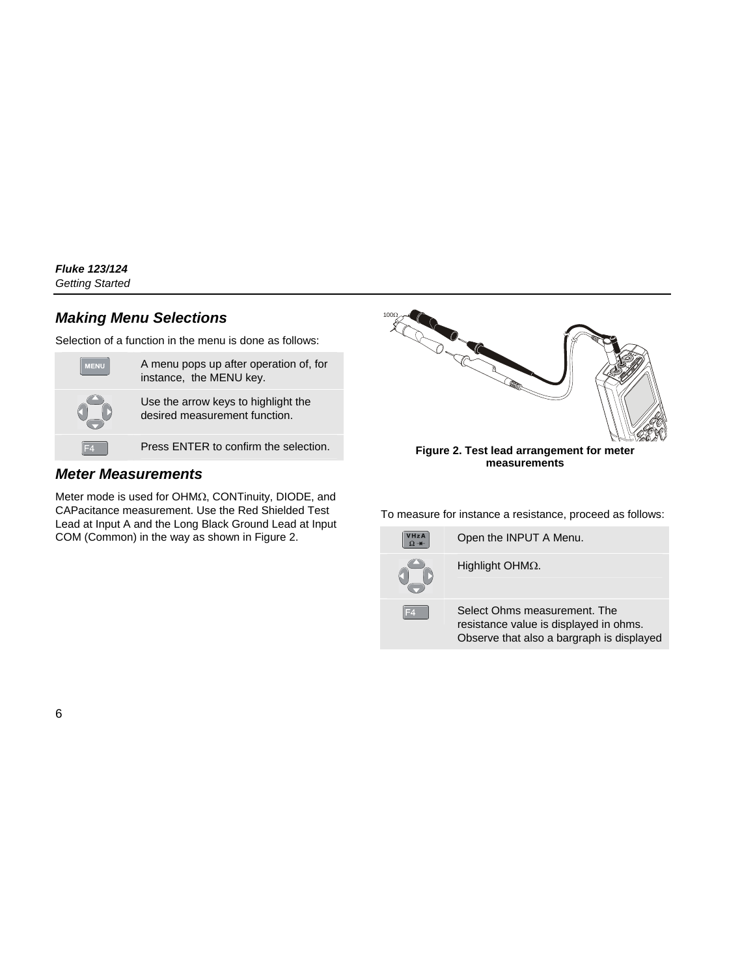# *Making Menu Selections*

Selection of a function in the menu is done as follows:

| <b>MENU</b> | A menu pops up after operation of, for<br>instance, the MENU key.    |
|-------------|----------------------------------------------------------------------|
|             | Use the arrow keys to highlight the<br>desired measurement function. |
|             | Press ENTER to confirm the selection.                                |

## *Meter Measurements*

Meter mode is used for OHMΩ, CONTinuity, DIODE, and CAPacitance measurement. Use the Red Shielded Test Lead at Input A and the Long Black Ground Lead at Input COM (Common) in the way as shown in Figure 2.



To measure for instance a resistance, proceed as follows:

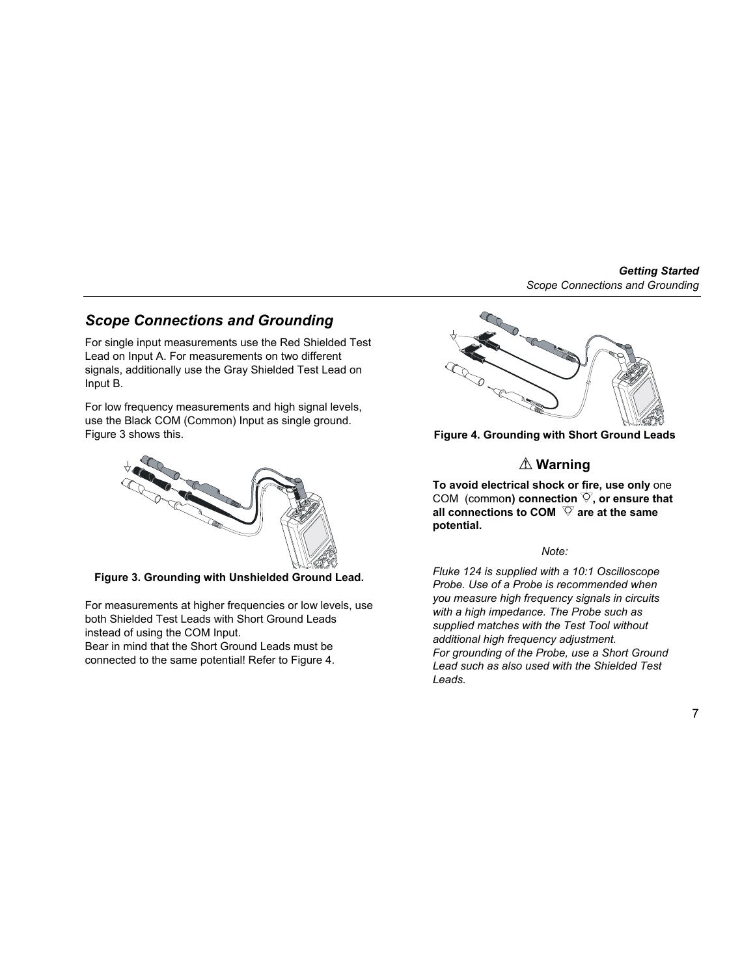## *Scope Connections and Grounding*

For single input measurements use the Red Shielded Test Lead on Input A. For measurements on two different signals, additionally use the Gray Shielded Test Lead on Input B.

For low frequency measurements and high signal levels. use the Black COM (Common) Input as single ground. Figure 3 shows this.



**Figure 3. Grounding with Unshielded Ground Lead.** 

For measurements at higher frequencies or low levels, use both Shielded Test Leads with Short Ground Leads instead of using the COM Input.

Bear in mind that the Short Ground Leads must be connected to the same potential! Refer to Figure 4.



**Figure 4. Grounding with Short Ground Leads** 

# **Warning**

**To avoid electrical shock or fire, use only** one COM (common) connection  $\heartsuit$ , or ensure that all connections to COM  $\heartsuit$  are at the same **potential.** 

#### *Note:*

*Fluke 124 is supplied with a 10:1 Oscilloscope Probe. Use of a Probe is recommended when you measure high frequency signals in circuits with a high impedance. The Probe such as supplied matches with the Test Tool without additional high frequency adjustment. For grounding of the Probe, use a Short Ground Lead such as also used with the Shielded Test Leads.*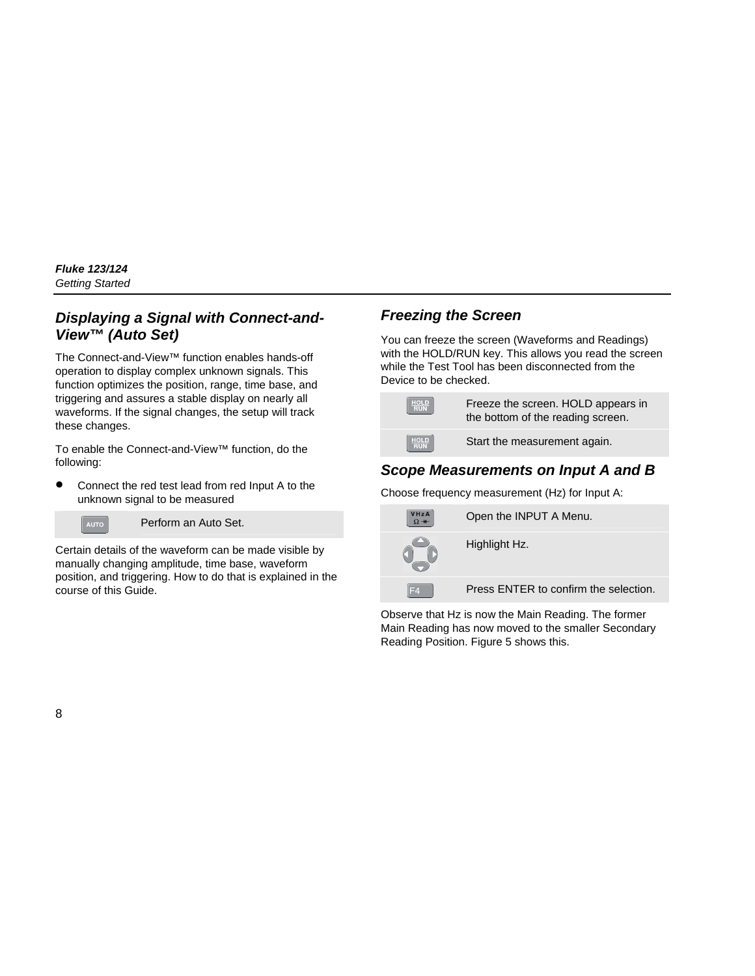## *Displaying a Signal with Connect-and-View™ (Auto Set)*

The Connect-and-View™ function enables hands-off operation to display complex unknown signals. This function optimizes the position, range, time base, and triggering and assures a stable display on nearly all waveforms. If the signal changes, the setup will track these changes.

To enable the Connect-and-View™ function, do the following:

• Connect the red test lead from red Input A to the unknown signal to be measured



Perform an Auto Set.

Certain details of the waveform can be made visible by manually changing amplitude, time base, waveform position, and triggering. How to do that is explained in the course of this Guide.

## *Freezing the Screen*

You can freeze the screen (Waveforms and Readings) with the HOLD/RUN key. This allows you read the screen while the Test Tool has been disconnected from the Device to be checked.



Freeze the screen. HOLD appears in the bottom of the reading screen.



Start the measurement again.

# *Scope Measurements on Input A and B*

Choose frequency measurement (Hz) for Input A:



Observe that Hz is now the Main Reading. The former Main Reading has now moved to the smaller Secondary Reading Position. Figure 5 shows this.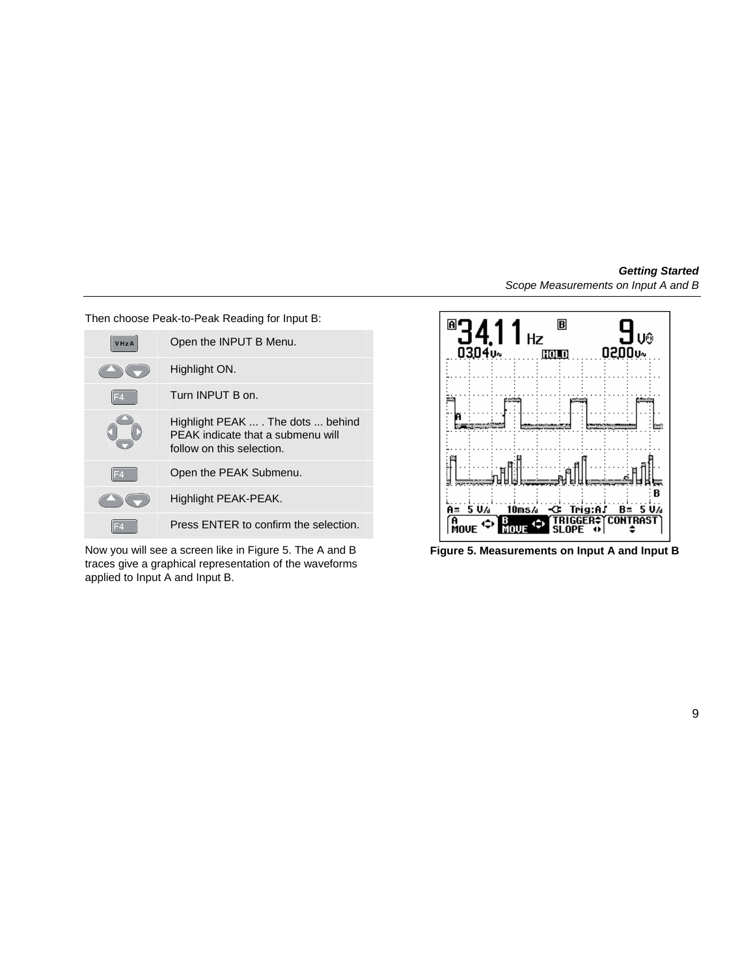Then choose Peak-to-Peak Reading for Input B:

| VHzA | Open the INPUT B Menu.                                                                               |
|------|------------------------------------------------------------------------------------------------------|
|      | Highlight ON.                                                                                        |
| IF4  | Turn INPUT B on.                                                                                     |
|      | Highlight PEAK  . The dots  behind<br>PEAK indicate that a submenu will<br>follow on this selection. |
| F4   | Open the PEAK Submenu.                                                                               |
|      | Highlight PEAK-PEAK.                                                                                 |
|      | Press ENTER to confirm the selection.                                                                |

Now you will see a screen like in Figure 5. The A and B traces give a graphical representation of the waveforms applied to Input A and Input B.



**Figure 5. Measurements on Input A and Input B**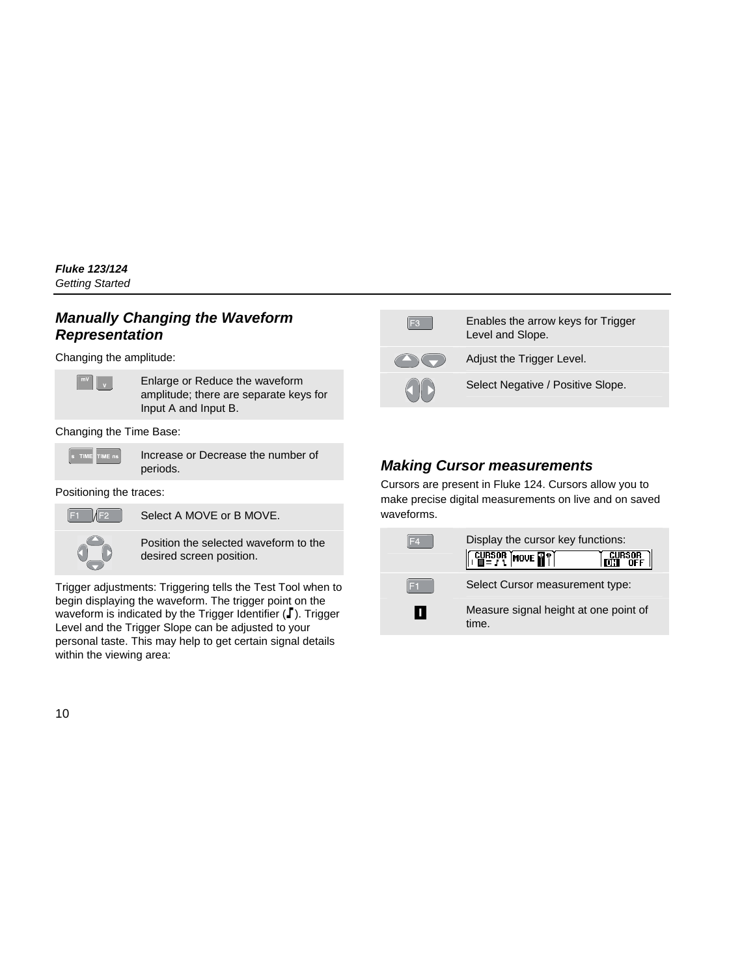## *Manually Changing the Waveform Representation*

Changing the amplitude:



Enlarge or Reduce the waveform amplitude; there are separate keys for Input A and Input B.

Changing the Time Base:



Increase or Decrease the number of periods.

Positioning the traces:



Select A MOVE or B MOVE.



Position the selected waveform to the desired screen position.

Trigger adjustments: Triggering tells the Test Tool when to begin displaying the waveform. The trigger point on the waveform is indicated by the Trigger Identifier  $(\Gamma)$ . Trigger Level and the Trigger Slope can be adjusted to your personal taste. This may help to get certain signal details within the viewing area:



Enables the arrow keys for Trigger Level and Slope.



Adjust the Trigger Level.

Select Negative / Positive Slope.

# *Making Cursor measurements*

Cursors are present in Fluke 124. Cursors allow you to make precise digital measurements on live and on saved waveforms.

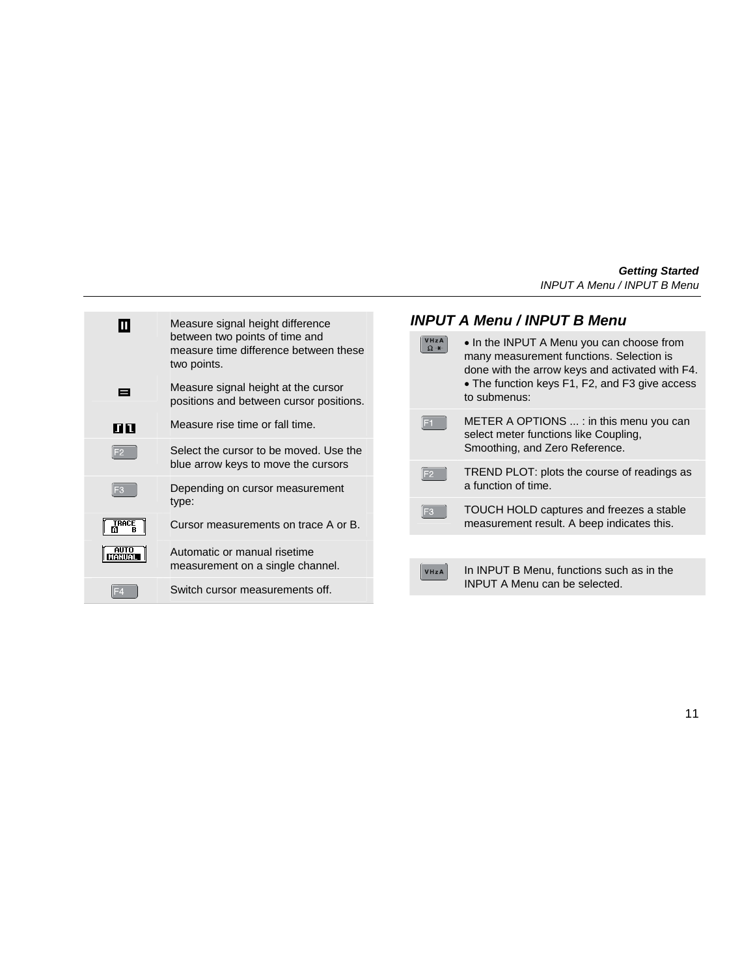| Ш                      | Measure signal height difference                                                       | <b>INPUT A Menu / INPUT B Menu</b> |                                          |                                                                                                                                          |
|------------------------|----------------------------------------------------------------------------------------|------------------------------------|------------------------------------------|------------------------------------------------------------------------------------------------------------------------------------------|
|                        | between two points of time and<br>measure time difference between these<br>two points. |                                    | VHzA<br>$\Omega +$                       | • In the INPUT A Menu you can choose from<br>many measurement functions. Selection is<br>done with the arrow keys and activated with F4. |
| Е                      | Measure signal height at the cursor<br>positions and between cursor positions.         |                                    |                                          | • The function keys F1, F2, and F3 give access<br>to submenus:                                                                           |
| лп                     | Measure rise time or fall time.                                                        |                                    | IF <sub>1</sub>                          | METER A OPTIONS $\dots$ : in this menu you can<br>select meter functions like Coupling,                                                  |
|                        | Select the cursor to be moved. Use the                                                 |                                    |                                          | Smoothing, and Zero Reference.                                                                                                           |
|                        | blue arrow keys to move the cursors                                                    |                                    | F <sub>2</sub>                           | TREND PLOT: plots the course of readings as                                                                                              |
|                        | Depending on cursor measurement                                                        |                                    |                                          | a function of time.                                                                                                                      |
|                        | type:<br>E3                                                                            |                                    | TOUCH HOLD captures and freezes a stable |                                                                                                                                          |
| TRACE                  | Cursor measurements on trace A or B.                                                   |                                    |                                          | measurement result. A beep indicates this.                                                                                               |
| <b>AUTO</b><br>ISTUIST | Automatic or manual risetime                                                           |                                    |                                          |                                                                                                                                          |
|                        | measurement on a single channel.                                                       |                                    | VHzA                                     | In INPUT B Menu, functions such as in the                                                                                                |
|                        | Switch cursor measurements off.                                                        |                                    |                                          | <b>INPUT A Menu can be selected.</b>                                                                                                     |
|                        |                                                                                        |                                    |                                          |                                                                                                                                          |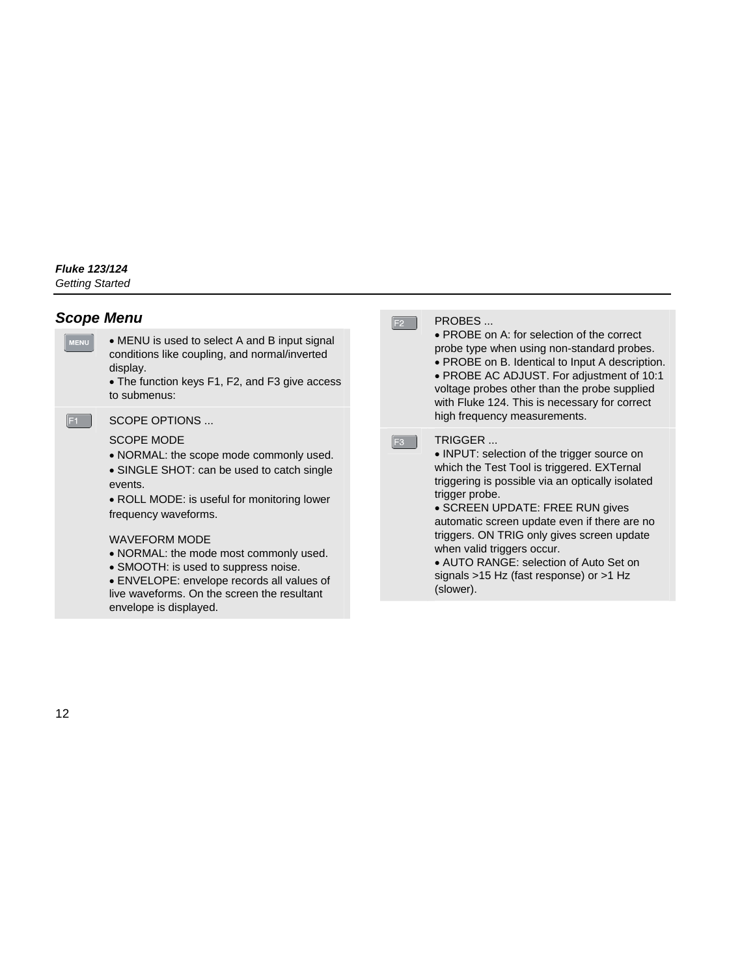### *Scope Menu*

- MENU • MENU is used to select A and B input signal conditions like coupling, and normal/inverted display.
	- The function keys F1, F2, and F3 give access to submenus:
- 

SCOPE OPTIONS

#### SCOPE MODE

- NORMAL: the scope mode commonly used.
- SINGLE SHOT: can be used to catch single events.
- ROLL MODE: is useful for monitoring lower frequency waveforms.

#### WAVEFORM MODE

- NORMAL: the mode most commonly used.
- SMOOTH: is used to suppress noise.
- ENVELOPE: envelope records all values of live waveforms. On the screen the resultant envelope is displayed.

#### PROBES ...

 $F2$ 

 $F3$ 

- PROBE on A: for selection of the correct probe type when using non-standard probes.
- PROBE on B. Identical to Input A description.
- PROBE AC ADJUST. For adjustment of 10:1 voltage probes other than the probe supplied with Fluke 124. This is necessary for correct high frequency measurements.

#### **TRIGGER**

- INPUT: selection of the trigger source on which the Test Tool is triggered. EXTernal triggering is possible via an optically isolated trigger probe.
- SCREEN UPDATE: FREE RUN gives automatic screen update even if there are no triggers. ON TRIG only gives screen update when valid triggers occur.
- AUTO RANGE: selection of Auto Set on signals >15 Hz (fast response) or >1 Hz (slower).